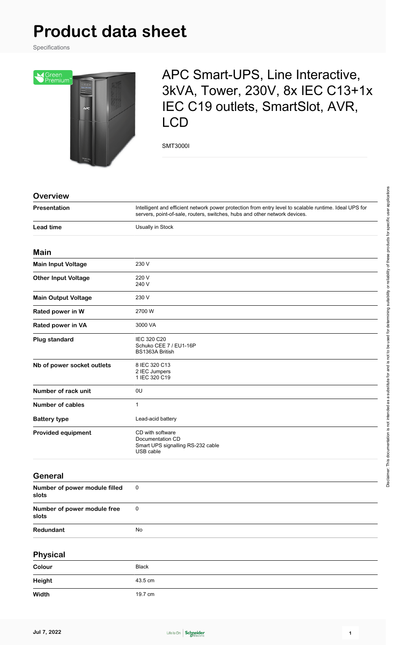# **Product data sheet**

Specifications



# APC Smart-UPS, Line Interactive, 3kVA, Tower, 230V, 8x IEC C13+1x IEC C19 outlets, SmartSlot, AVR, LCD

SMT3000I

| <b>Overview</b>                        |                                                                                                                                                                                      |
|----------------------------------------|--------------------------------------------------------------------------------------------------------------------------------------------------------------------------------------|
| Presentation                           | Intelligent and efficient network power protection from entry level to scalable runtime. Ideal UPS for<br>servers, point-of-sale, routers, switches, hubs and other network devices. |
| <b>Lead time</b>                       | Usually in Stock                                                                                                                                                                     |
| Main                                   |                                                                                                                                                                                      |
| Main Input Voltage                     | 230 V                                                                                                                                                                                |
| <b>Other Input Voltage</b>             | 220 V<br>240 V                                                                                                                                                                       |
| <b>Main Output Voltage</b>             | 230 V                                                                                                                                                                                |
| Rated power in W                       | 2700 W                                                                                                                                                                               |
| Rated power in VA                      | 3000 VA                                                                                                                                                                              |
| <b>Plug standard</b>                   | IEC 320 C20<br>Schuko CEE 7 / EU1-16P<br>BS1363A British                                                                                                                             |
| Nb of power socket outlets             | 8 IEC 320 C13<br>2 IEC Jumpers<br>1 IEC 320 C19                                                                                                                                      |
| Number of rack unit                    | 0U                                                                                                                                                                                   |
| <b>Number of cables</b>                | $\mathbf{1}$                                                                                                                                                                         |
| <b>Battery type</b>                    | Lead-acid battery                                                                                                                                                                    |
| <b>Provided equipment</b>              | CD with software<br>Documentation CD<br>Smart UPS signalling RS-232 cable<br>USB cable                                                                                               |
| General                                |                                                                                                                                                                                      |
| Number of power module filled<br>slots | 0                                                                                                                                                                                    |
| Number of power module free<br>slots   | $\pmb{0}$                                                                                                                                                                            |
| Redundant                              | No                                                                                                                                                                                   |
| <b>Physical</b>                        |                                                                                                                                                                                      |
| Colour                                 | <b>Black</b>                                                                                                                                                                         |
| <b>Height</b>                          | 43.5 cm                                                                                                                                                                              |
| Width                                  | 19.7 cm                                                                                                                                                                              |
|                                        |                                                                                                                                                                                      |

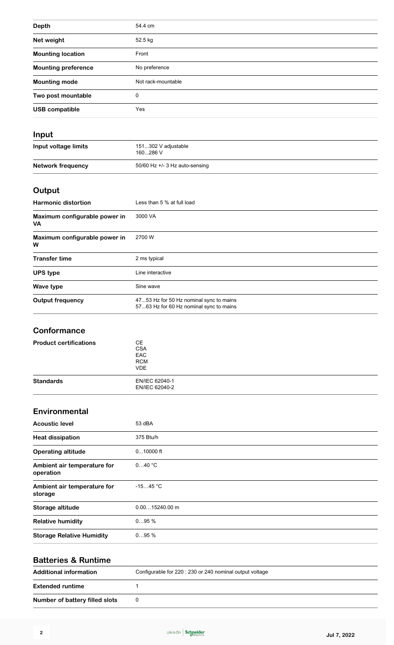| <b>Depth</b>               | 54.4 cm            |
|----------------------------|--------------------|
| Net weight                 | 52.5 kg            |
| <b>Mounting location</b>   | Front              |
| <b>Mounting preference</b> | No preference      |
| <b>Mounting mode</b>       | Not rack-mountable |
| Two post mountable         | 0                  |
| <b>USB compatible</b>      | Yes                |
|                            |                    |

#### **Input**

| Input voltage limits | 151302 V adjustable<br>160286 V  |
|----------------------|----------------------------------|
| Network frequency    | 50/60 Hz $+/-$ 3 Hz auto-sensing |

#### **Output**

| <b>Harmonic distortion</b>                 | Less than 5 % at full load                                                         |
|--------------------------------------------|------------------------------------------------------------------------------------|
| Maximum configurable power in<br><b>VA</b> | 3000 VA                                                                            |
| Maximum configurable power in<br>W         | 2700 W                                                                             |
| <b>Transfer time</b>                       | 2 ms typical                                                                       |
| <b>UPS type</b>                            | Line interactive                                                                   |
| Wave type                                  | Sine wave                                                                          |
| <b>Output frequency</b>                    | 4753 Hz for 50 Hz nominal sync to mains<br>5763 Hz for 60 Hz nominal sync to mains |

#### **Conformance**

| <b>Product certifications</b> | CЕ<br><b>CSA</b><br>EAC<br><b>RCM</b><br><b>VDE</b> |
|-------------------------------|-----------------------------------------------------|
| <b>Standards</b>              | EN/IEC 62040-1<br>EN/IEC 62040-2                    |

#### **Environmental**

| <b>Acoustic level</b>                    | 53 dBA           |
|------------------------------------------|------------------|
| <b>Heat dissipation</b>                  | 375 Btu/h        |
| <b>Operating altitude</b>                | $010000$ ft      |
| Ambient air temperature for<br>operation | 040 °C           |
| Ambient air temperature for<br>storage   | $-1545$ °C       |
| Storage altitude                         | $0.0015240.00$ m |
| <b>Relative humidity</b>                 | 095%             |
| <b>Storage Relative Humidity</b>         | 095%             |
|                                          |                  |

#### **Batteries & Runtime**

| <b>Additional information</b>  | Configurable for 220 : 230 or 240 nominal output voltage |
|--------------------------------|----------------------------------------------------------|
| <b>Extended runtime</b>        |                                                          |
| Number of battery filled slots |                                                          |